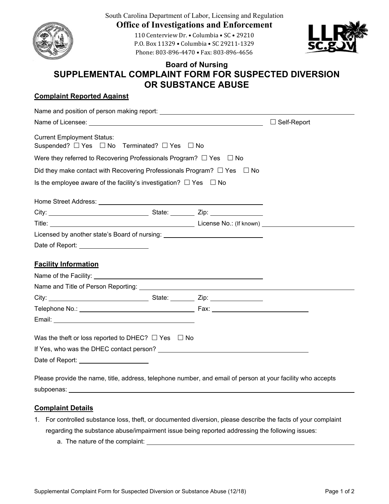

South Carolina Department of Labor, Licensing and Regulation **Office of Investigations and Enforcement** 

> 110 Centerview Dr. • Columbia • SC • 29210 P.O. Box 11329 • Columbia • SC 29211‐1329 Phone: 803-896-4470 • Fax: 803-896-4656



## **Board of Nursing SUPPLEMENTAL COMPLAINT FORM FOR SUSPECTED DIVERSION OR SUBSTANCE ABUSE**

## **Complaint Reported Against**

|                                                                                                             |  |  | $\Box$ Self-Report |
|-------------------------------------------------------------------------------------------------------------|--|--|--------------------|
| <b>Current Employment Status:</b><br>Suspended? $\Box$ Yes $\Box$ No Terminated? $\Box$ Yes $\Box$ No       |  |  |                    |
| Were they referred to Recovering Professionals Program? $\Box$ Yes $\Box$ No                                |  |  |                    |
| Did they make contact with Recovering Professionals Program? $\Box$ Yes $\Box$ No                           |  |  |                    |
| Is the employee aware of the facility's investigation? $\Box$ Yes $\Box$ No                                 |  |  |                    |
|                                                                                                             |  |  |                    |
|                                                                                                             |  |  |                    |
|                                                                                                             |  |  |                    |
| Licensed by another state's Board of nursing: __________________________________                            |  |  |                    |
| Date of Report: _______________________                                                                     |  |  |                    |
| <b>Facility Information</b>                                                                                 |  |  |                    |
|                                                                                                             |  |  |                    |
|                                                                                                             |  |  |                    |
|                                                                                                             |  |  |                    |
|                                                                                                             |  |  |                    |
|                                                                                                             |  |  |                    |
| Was the theft or loss reported to DHEC? $\Box$ Yes $\Box$ No                                                |  |  |                    |
|                                                                                                             |  |  |                    |
| Date of Report: <u>continuing</u>                                                                           |  |  |                    |
| Please provide the name, title, address, telephone number, and email of person at your facility who accepts |  |  |                    |
|                                                                                                             |  |  |                    |

subpoenas:

## **Complaint Details**

- 1. For controlled substance loss, theft, or documented diversion, please describe the facts of your complaint regarding the substance abuse/impairment issue being reported addressing the following issues:
	- a. The nature of the complaint: